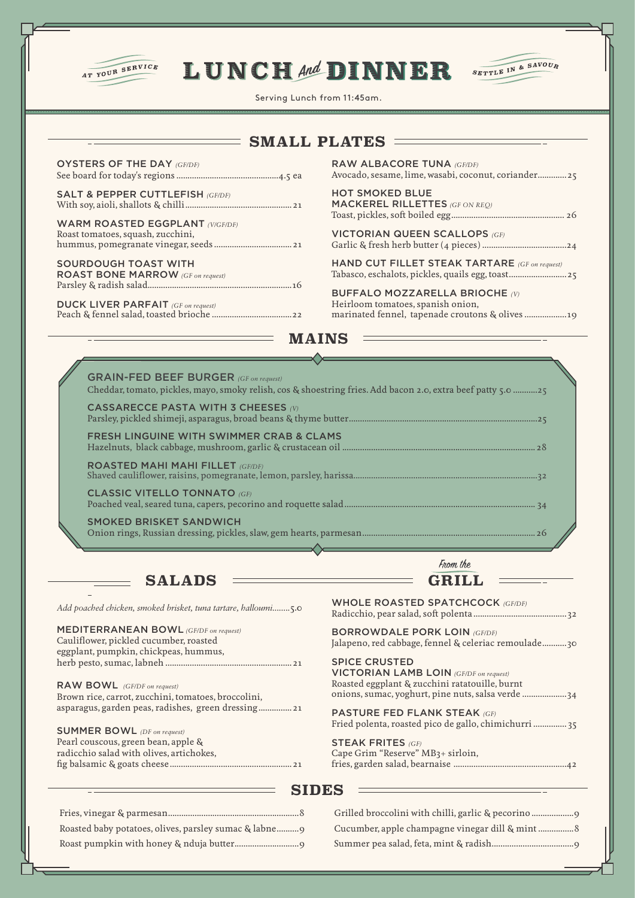

## LUNCHAN DINNER SETTLE IN & SAVOUR



Cucumber, apple champagne vinegar dill & mint ................8 Summer pea salad, feta, mint & radish.....................................9

Serving Lunch from 11:45am.

|                                                                                        | <b>SMALL PLATES</b>                                                                                                           |
|----------------------------------------------------------------------------------------|-------------------------------------------------------------------------------------------------------------------------------|
| <b>OYSTERS OF THE DAY (GF/DF)</b>                                                      | <b>RAW ALBACORE TUNA (GF/DF)</b><br>Avocado, sesame, lime, wasabi, coconut, coriander 25                                      |
| <b>SALT &amp; PEPPER CUTTLEFISH (GF/DF)</b>                                            | <b>HOT SMOKED BLUE</b><br><b>MACKEREL RILLETTES</b> (GF ON REQ)                                                               |
| <b>WARM ROASTED EGGPLANT (V/GF/DF)</b><br>Roast tomatoes, squash, zucchini,            | <b>VICTORIAN QUEEN SCALLOPS (GF)</b>                                                                                          |
| <b>SOURDOUGH TOAST WITH</b><br><b>ROAST BONE MARROW</b> (GF on request)                | HAND CUT FILLET STEAK TARTARE (GF on request)                                                                                 |
| <b>DUCK LIVER PARFAIT</b> (GF on request)                                              | <b>BUFFALO MOZZARELLA BRIOCHE (V)</b><br>Heirloom tomatoes, spanish onion,<br>marinated fennel, tapenade croutons & olives 19 |
|                                                                                        |                                                                                                                               |
|                                                                                        | <b>MAINS</b>                                                                                                                  |
|                                                                                        |                                                                                                                               |
| <b>GRAIN-FED BEEF BURGER</b> (GF on request)                                           | Cheddar, tomato, pickles, mayo, smoky relish, cos & shoestring fries. Add bacon 2.0, extra beef patty 5.0 25                  |
| <b>CASSARECCE PASTA WITH 3 CHEESES (V)</b>                                             |                                                                                                                               |
| <b>FRESH LINGUINE WITH SWIMMER CRAB &amp; CLAMS</b>                                    |                                                                                                                               |
|                                                                                        |                                                                                                                               |
| <b>ROASTED MAHI MAHI FILLET (GF/DF)</b>                                                |                                                                                                                               |
| <b>CLASSIC VITELLO TONNATO (GF)</b>                                                    |                                                                                                                               |
| <b>SMOKED BRISKET SANDWICH</b>                                                         |                                                                                                                               |
|                                                                                        | From the                                                                                                                      |
| <b>SALADS</b>                                                                          |                                                                                                                               |
| Add poached chicken, smoked brisket, tuna tartare, halloumi5.0                         | <b>WHOLE ROASTED SPATCHCOCK (GF/DF)</b>                                                                                       |
| <b>MEDITERRANEAN BOWL</b> (GF/DF on request)<br>Cauliflower, pickled cucumber, roasted | <b>BORROWDALE PORK LOIN (GF/DF)</b><br>Jalapeno, red cabbage, fennel & celeriac remoulade30                                   |
| eggplant, pumpkin, chickpeas, hummus,                                                  | <b>SPICE CRUSTED</b><br><b>VICTORIAN LAMB LOIN</b> (GF/DF on request)<br>Roasted eggplant & zucchini ratatouille, burnt       |
| RAW BOWL (GF/DF on request)<br>Brown rice, carrot, zucchini, tomatoes, broccolini,     | onions, sumac, yoghurt, pine nuts, salsa verde 34                                                                             |
| asparagus, garden peas, radishes, green dressing 21                                    | <b>PASTURE FED FLANK STEAK (GF)</b><br>Fried polenta, roasted pico de gallo, chimichurri  35                                  |
| <b>SUMMER BOWL</b> (DF on request)<br>Pearl couscous, green bean, apple &              | <b>STEAK FRITES (GF)</b>                                                                                                      |

Roasted baby potatoes, olives, parsley sumac & labne..........9 Roast pumpkin with honey & nduja butter.............................9